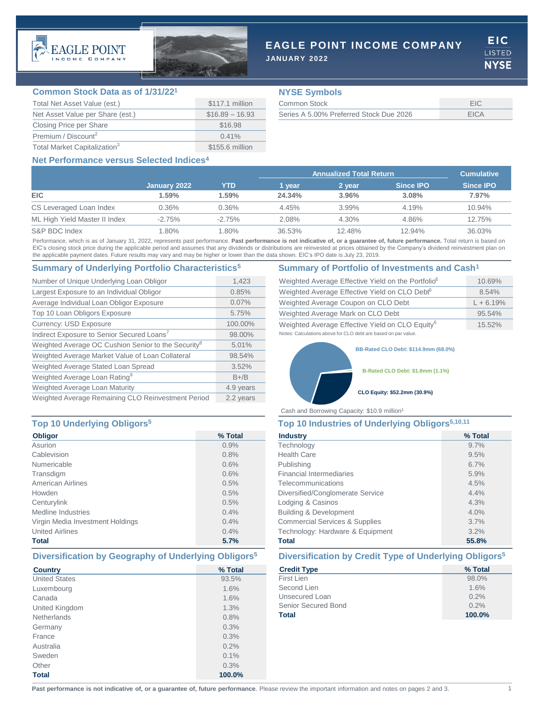



# **EAGLE POINT INCOME COMPANY**

**JANUARY 2022**

EIC. **LISTED NYSE** 

### **Common Stock Data as of 1/31/22<sup>1</sup>**

| Total Net Asset Value (est.)             | \$117.1 million  |
|------------------------------------------|------------------|
| Net Asset Value per Share (est.)         | $$16.89 - 16.93$ |
| Closing Price per Share                  | \$16.98          |
| Premium / Discount <sup>2</sup>          | $0.41\%$         |
| Total Market Capitalization <sup>3</sup> | \$155.6 million  |

# **NYSE Symbols**

| Common Stock                            |      |
|-----------------------------------------|------|
| Series A 5.00% Preferred Stock Due 2026 | FICA |

# **Net Performance versus Selected Indices4**

|                               |              |          | <b>Annualized Total Return</b> |          |                  | <b>Cumulative</b> |
|-------------------------------|--------------|----------|--------------------------------|----------|------------------|-------------------|
|                               | January 2022 | YTD      | 1 vear                         | 2 year   | <b>Since IPO</b> | <b>Since IPO</b>  |
| <b>EIC</b>                    | 1.59%        | 1.59%    | 24.34%                         | 3.96%    | 3.08%            | 7.97%             |
| CS Leveraged Loan Index       | 0.36%        | 0.36%    | 4.45%                          | $3.99\%$ | 4.19%            | 10.94%            |
| ML High Yield Master II Index | $-2.75%$     | $-2.75%$ | 2.08%                          | $4.30\%$ | 4.86%            | 12.75%            |
| S&P BDC Index                 | $1.80\%$     | $1.80\%$ | 36.53%                         | 12.48%   | 12.94%           | 36.03%            |

Performance, which is as of January 31, 2022, represents past performance. Past performance is not indicative of, or a guarantee of, future performance. Total return is based on EIC's closing stock price during the applicable period and assumes that any dividends or distributions are reinvested at prices obtained by the Company's dividend reinvestment plan on the applicable payment dates. Future results may vary and may be higher or lower than the data shown. EIC's IPO date is July 23, 2019.

# **Summary of Underlying Portfolio Characteristics<sup>5</sup> Summary of Portfolio of Investments and Cash<sup>1</sup>**

| Number of Unique Underlying Loan Obligor                        | 1,423     |
|-----------------------------------------------------------------|-----------|
| Largest Exposure to an Individual Obligor                       | 0.85%     |
| Average Individual Loan Obligor Exposure                        | 0.07%     |
| Top 10 Loan Obligors Exposure                                   | 5.75%     |
| <b>Currency: USD Exposure</b>                                   | 100.00%   |
| Indirect Exposure to Senior Secured Loans <sup>7</sup>          | 98.00%    |
| Weighted Average OC Cushion Senior to the Security <sup>8</sup> | 5.01%     |
| Weighted Average Market Value of Loan Collateral                | 98.54%    |
| Weighted Average Stated Loan Spread                             | 3.52%     |
| Weighted Average Loan Rating <sup>9</sup>                       | $B + / B$ |
| Weighted Average Loan Maturity                                  | 4.9 years |
| Weighted Average Remaining CLO Reinvestment Period              | 2.2 years |

## **Top 10 Underlying Obligors<sup>5</sup> Top 10 Industries of Underlying Obligors5,10,11**

| <b>Obligor</b>                   | % Total |  |
|----------------------------------|---------|--|
| Asurion                          | 0.9%    |  |
| Cablevision                      | 0.8%    |  |
| Numericable                      | 0.6%    |  |
| Transdigm                        | 0.6%    |  |
| <b>American Airlines</b>         | 0.5%    |  |
| Howden                           | 0.5%    |  |
| Centurylink                      | 0.5%    |  |
| Medline Industries               | 0.4%    |  |
| Virgin Media Investment Holdings | 0.4%    |  |
| <b>United Airlines</b>           | 0.4%    |  |
| <b>Total</b>                     | 5.7%    |  |

| <b>Country</b>       | % Total |
|----------------------|---------|
| <b>United States</b> | 93.5%   |
| Luxembourg           | 1.6%    |
| Canada               | 1.6%    |
| United Kingdom       | 1.3%    |
| <b>Netherlands</b>   | 0.8%    |
| Germany              | 0.3%    |
| France               | 0.3%    |
| Australia            | 0.2%    |
| Sweden               | 0.1%    |
| Other                | 0.3%    |
| <b>Total</b>         | 100.0%  |

| Weighted Average Effective Yield on the Portfolio <sup>6</sup> | 10.69%      |
|----------------------------------------------------------------|-------------|
| Weighted Average Effective Yield on CLO Debt <sup>6</sup>      | 8.54%       |
| Weighted Average Coupon on CLO Debt                            | $L + 6.19%$ |
| Weighted Average Mark on CLO Debt                              | $95.54\%$   |
| Weighted Average Effective Yield on CLO Equity <sup>6</sup>    | 15.52%      |
| Notes: Calculations above for CLO debt are based on par value. |             |

**BB-Rated CLO Debt: \$114.9mm (68.0%)**

**B-Rated CLO Debt: \$1.8mm (1.1%)**

### **CLO Equity: \$52.2mm (30.9%)**

Cash and Borrowing Capacity: \$10.9 million<sup>1</sup>

| <b>Industry</b>                           | % Total |  |
|-------------------------------------------|---------|--|
| Technology                                | 9.7%    |  |
| <b>Health Care</b>                        | 9.5%    |  |
| Publishing                                | 6.7%    |  |
| <b>Financial Intermediaries</b>           | 5.9%    |  |
| Telecommunications                        | 4.5%    |  |
| Diversified/Conglomerate Service          | 4.4%    |  |
| Lodging & Casinos                         | 4.3%    |  |
| <b>Building &amp; Development</b>         | 4.0%    |  |
| <b>Commercial Services &amp; Supplies</b> | 3.7%    |  |
| Technology: Hardware & Equipment          | 3.2%    |  |
| <b>Total</b>                              | 55.8%   |  |

# **Diversification by Geography of Underlying Obligors<sup>5</sup> Diversification by Credit Type of Underlying Obligors<sup>5</sup>**

| <b>Credit Type</b>  | % Total |
|---------------------|---------|
| First Lien          | 98.0%   |
| Second Lien         | 1.6%    |
| Unsecured Loan      | 0.2%    |
| Senior Secured Bond | 0.2%    |
| Total               | 100.0%  |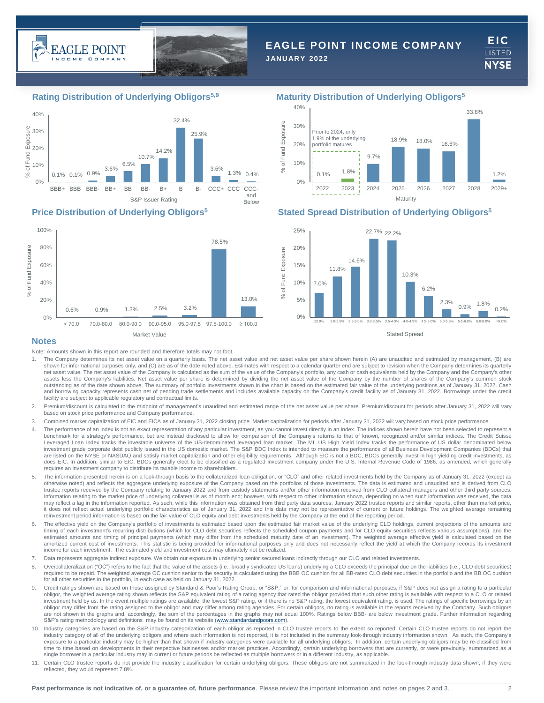



# **EAGLE POINT INCOME COMPANY**

**JANUARY 2022**

**EIC** LISTED **NYSE** 





# **Rating Distribution of Underlying Obligors5,9 Maturity Distribution of Underlying Obligors<sup>5</sup>**



# **Price Distribution of Underlying Obligors<sup>5</sup> Stated Spread Distribution of Underlying Obligors<sup>5</sup>**



Stated Spread

## **Notes**

Note: Amounts shown in this report are rounded and therefore totals may not foot.

- 1. The Company determines its net asset value on a quarterly basis. The net asset value and net asset value per share shown herein (A) are unaudited and estimated by management, (B) are shown for informational purposes only, and (C) are as of the date noted above. Estimates with respect to a calendar quarter end are subject to revision when the Company determines its quarterly net asset value. The net asset value of the Company is calculated as the sum of the value of the Company's portfolio, any cash or cash equivalents held by the Company and the Company's other assets less the Company's liabilities. Net asset value per share is determined by dividing the net asset value of the Company by the number of shares of the Company's common stock outstanding as of the date shown above. The summary of portfolio investments shown in the chart is based on the estimated fair value of the underlying positions as of January 31, 2022. Cash<br>and borrowing capacity represent facility are subject to applicable regulatory and contractual limits.
- 2. Premium/discount is calculated to the midpoint of management's unaudited and estimated range of the net asset value per share. Premium/discount for periods after January 31, 2022 will vary based on stock price performance and Company performance.
- 3. Combined market capitalization of EIC and EICA as of January 31, 2022 closing price. Market capitalization for periods after January 31, 2022 will vary based on stock price performance.
- 4. The performance of an index is not an exact representation of any particular investment, as you cannot invest directly in an index. The indices shown herein have not been selected to represent a benchmark for a strategy's performance, but are instead disclosed to allow for comparison of the Company's returns to that of known, recognized and/or similar indices. The Credit Suisse Leveraged Loan Index tracks the investable universe of the US-denominated leveraged loan market. The ML US High Yield Index tracks the performance of US dollar denominated below<br>investment grade corporate debt publicly iss are listed on the NYSE or NASDAQ and satisfy market capitalization and other eligibility requirements. Although EIC is not a BDC, BDCs generally invest in high yielding credit investments, as does EIC. In addition, similar to EIC, BDCs generally elect to be classified as a regulated investment company under the U.S. Internal Revenue Code of 1986, as amended, which generally requires an investment company to distribute its taxable income to shareholders.
- 5. The information presented herein is on a look-through basis to the collateralized loan obligation, or "CLO" and other related investments held by the Company as of January 31, 2022 (except as otherwise noted) and reflects the aggregate underlying exposure of the Company based on the portfolios of those investments. The data is estimated and unaudited and is derived from CLO trustee reports received by the Company relating to January 2022 and from custody statements and/or other information received from CLO collateral managers and other third party sources. Information relating to the market price of underlying collateral is as of month end; however, with respect to other information shown, depending on when such information was received, the data may reflect a lag in the information reported. As such, while this information was obtained from third party data sources, January 2022 trustee reports and similar reports, other than market price,<br>it does not reflect actu reinvestment period information is based on the fair value of CLO equity and debt investments held by the Company at the end of the reporting period.
- 6. The effective yield on the Company's portfolio of investments is estimated based upon the estimated fair market value of the underlying CLO holdings, current projections of the amounts and timing of each investment's recurring distributions (which for CLO debt securities reflects the scheduled coupon payments and for CLO equity securities reflects various assumptions), and the estimated amounts and timing of principal payments (which may differ from the scheduled maturity date of an investment). The weighted average effective yield is calculated based on the amortized current cost of investments. This statistic is being provided for informational purposes only and does not necessarily reflect the yield at which the Company records its investment income for each investment. The estimated yield and investment cost may ultimately not be realized.
- 7. Data represents aggregate indirect exposure. We obtain our exposure in underlying senior secured loans indirectly through our CLO and related investments.
- 8. Overcollateralization ("OC") refers to the fact that the value of the assets (i.e., broadly syndicated US loans) underlying a CLO exceeds the principal due on the liabilities (i.e., CLO debt securities) required to be repaid. The weighted average OC cushion senior to the security is calculated using the BBB OC cushion for all BB-rated CLO debt securities in the portfolio and the BB OC cushion for all other securities in the portfolio, in each case as held on January 31, 2022.
- Credit ratings shown are based on those assigned by Standard & Poor's Rating Group, or "S&P," or, for comparison and informational purposes, if S&P does not assign a rating to a particular obligor, the weighted average rating shown reflects the S&P equivalent rating of a rating agency that rated the obligor provided that such other rating is available with respect to a CLO or related investment held by us. In the event multiple ratings are available, the lowest S&P rating, or if there is no S&P rating, the lowest equivalent rating, is used. The ratings of specific borrowings by an<br>obligor may differ fr are not shown in the graphs and, accordingly, the sum of the percentages in the graphs may not equal 100%. Ratings below BBB- are below investment grade. Further information regarding S&P's rating methodology and definitions may be found on its website ([www.standardandpoors.com](http://www.standardandpoors.com/)).
- 10. Industry categories are based on the S&P industry categorization of each obligor as reported in CLO trustee reports to the extent so reported. Certain CLO trustee reports do not report the industry category of all of the underlying obligors and where such information is not reported, it is not included in the summary look-through industry information shown. As such, the Company's exposure to a particular industry may be higher than that shown if industry categories were available for all underlying obligors. In addition, certain underlying obligors may be re-classified from time to time based on developments in their respective businesses and/or market practices. Accordingly, certain underlying borrowers that are currently, or were previously, summarized as a single borrower in a particular industry may in current or future periods be reflected as multiple borrowers or in a different industry, as applicable.
- Certain CLO trustee reports do not provide the industry classification for certain underlying obligors. These obligors are not summarized in the look-through industry data shown; if they were reflected, they would represent 7.8%.